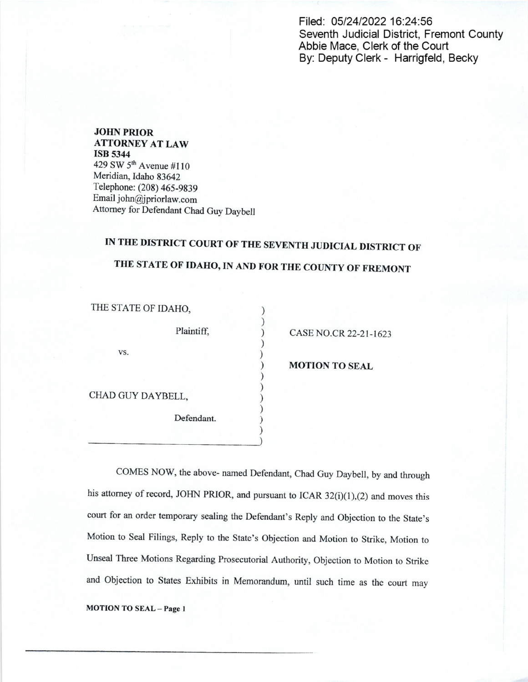Filed: 05/24/2022 16:24:56 Seventh Judicial District, Fremont County Abbie Mace, Clerk of the Court By: Deputy Clerk - Harrigfeld, Becky

JOHN PRIOR ATTORNEY AT LAW ISB 5344 429 SW 5<sup>th</sup> Avenue #110 Meridian, Idaho 83642 Telephone: (208) 465-9839 Email john@jpriorlaw.com Attorney for Defendant Chad Guy Daybell

## IN THE DISTRICT COURT OF THE SEVENTH JUDICIAL DISTRICT OF

## THE STATE OF IDAHO, IN AND FOR THE COUNTY OF FREMONT

 $\mathcal{E}$ 

 $\mathcal{L}$  $\lambda$ 

THE STATE OF IDAHO,

vs.

Plaintiff, (a) CASE NO.CR 22-21-1623

**MOTION TO SEAL** 

CHAD GUY DAYBELL,

Defendant.

COMES NOW, the above- named Defendant, Chad Guy Daybell, by and through his attorney of record, JOHN PRIOR, and pursuant to ICAR  $32(i)(1)$ , (2) and moves this court for an order temporary sealing the Defendant's Reply and Objection to the State's Motion to Seal Filings, Reply to the State's Objection and Motion to Strike, Motion to Unseal Three Motions Regarding Prosecutorial Authority, Objection to Motion to Strike and Objection to States Exhibits in Memorandum, until such time as the court may

MOTION TO SEAL - Page 1